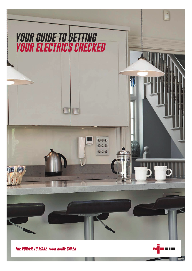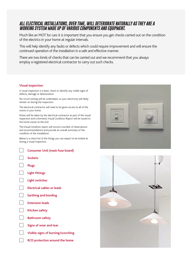# *ALL ELECTRICAL INSTALLATIONS, OVER TIME, WILL DETERIORATE NATURALLY AS THEY ARE A WORKING SYSTEM MADE UP OF VARIOUS COMPONENTS AND EQUIPMENT.*

Much like an MOT for cars it is important that you ensure you get checks carried out on the condition of the electrics in your home at regular intervals.

This will help identify any faults or defects which could require improvement and will ensure the continued operation of the installation in a safe and effective manner.

There are two kinds of checks that can be carried out and we recommend that you always employ a registered electrical contractor to carry out such checks.

#### **Visual Inspection**

A visual inspection is a basic check to identify any visible signs of defects, damage or deterioration.

No circuit testing will be undertaken, so your electricity will likely remain on during the inspection.

The electrical contractor will need to be given access to all of the rooms in your home.

Notes will be taken by the electrical contractor as part of the visual inspection and a Domestic Visual Condition Report will be issued to the home owner at the end.

The Visual Condition report will record a number of observations and recommendations and provide an overall summary of the condition of the installation.

Below is a check list of the things you can expect to be looked at during a visual inspection.

| <b>Consumer Unit (main fuse board)</b> |
|----------------------------------------|
| <b>Sockets</b>                         |
| <b>Plugs</b>                           |
| <b>Light fittings</b>                  |
| <b>Light switches</b>                  |
| Electrical cables or leads             |
| <b>Earthing and bonding</b>            |
| <b>Extension leads</b>                 |
| <b>Kitchen safety</b>                  |
| <b>Bathroom safety</b>                 |
| Signs of wear and tear                 |
| Visible signs of burning/scorching     |
| <b>RCD protection around the home</b>  |
|                                        |



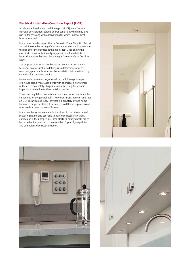## **Electrical Installation Condition Report (EICR)**

An electrical installation condition report (EICR) identifies any damage, deterioration, defects and/or conditions which may give rise to danger along with observations for which improvement is recommended.

It is a more detailed report than a Domestic Visual Condition Report and will involve the testing of various circuits which will require the turning off of the electrics at the main supply. This allows the electrical contractor to identify any possible hidden defects or issues that cannot be identified during a Domestic Visual Condition Report..

The purpose of an EICR (also known as periodic inspection and testing of an electrical installation), is to determine, so far as is reasonably practicable, whether the installation is in a satisfactory condition for continued service.

Homeowners often ask for, or obtain a condition report as part of a house sale. Similarly, landlords with an increasing awareness of their electrical safety obligations undertake regular periodic inspections in relation to their rental properties.

There is no regulation how often an electrical inspection should be carried out for the general pulic. However, NICEIC recommend that an EICR is carried out every 10 years in a privately-owned home. For rented properties this will be subject to different regulations and may need carrying out every 5 years.

It is a mandatory requirement for Landlords in the private rented sector in England and Scotland to have electrical safety checks carried out in their properties. These electrical safety checks are to be carried out at intervals of no more than 5 years by a qualified and competent electrical contractor.